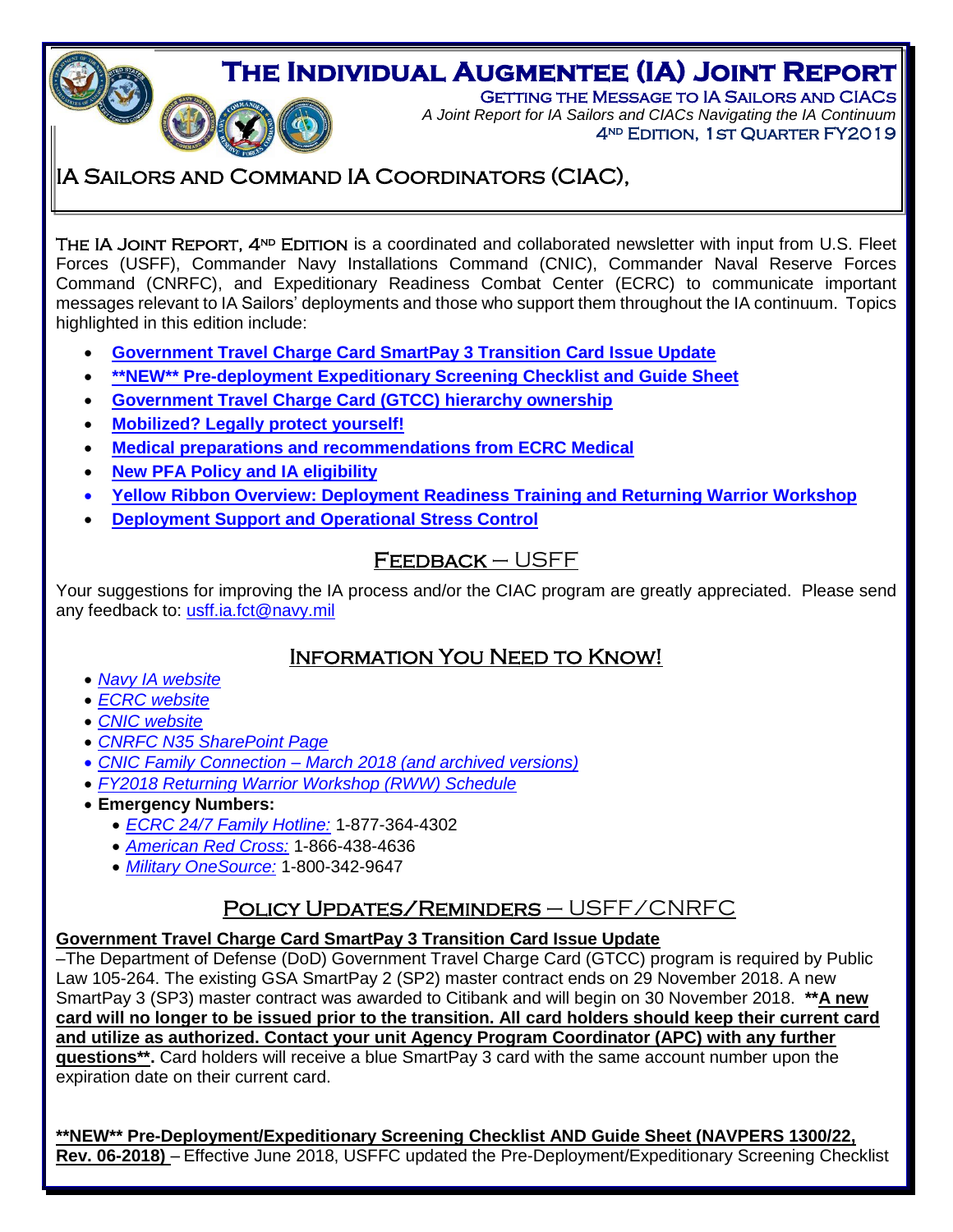**THE INDIVIDUAL AUGMENTEE (IA) JOINT REPORT**<br>A Joint Report for IA Sailors and CIACs Navigating the IA Continuum<br>A Joint Report for IA Sailors and CIACs Navigating the IA Continuum GETTING THE MESSAGE TO IA SAILORS AND CIACS *A Joint Report for IA Sailors and CIACs Navigating the IA Continuum* 4<sup>ND</sup> EDITION, 1ST QUARTER FY2019

# IA Sailors and Command IA Coordinators (CIAC),

THE IA JOINT REPORT, 4<sup>ND</sup> EDITION is a coordinated and collaborated newsletter with input from U.S. Fleet Forces (USFF), Commander Navy Installations Command (CNIC), Commander Naval Reserve Forces Command (CNRFC), and Expeditionary Readiness Combat Center (ECRC) to communicate important messages relevant to IA Sailors' deployments and those who support them throughout the IA continuum. Topics highlighted in this edition include:

- **[Government Travel Charge Card SmartPay 3 Transition Card Issue Update](#page-0-0)**
- **[\\*\\*NEW\\*\\* Pre-deployment Expeditionary Screening Checklist and Guide Sheet](#page-1-0)**
- **[Government Travel Charge Card \(GTCC\) hierarchy ownership](#page-0-1)**
- **[Mobilized? Legally](#page-1-1) protect yourself!**
- **[Medical preparations and recommendations from ECRC Medical](#page-2-0)**
- **New PFA [Policy and IA eligibility](#page-2-1)**
- **[Yellow Ribbon Overview: Deployment Readiness Training and Returning Warrior](#page-3-0) Workshop**
- **Deployment [Support and Operational Stress Control](#page-4-0)**

# Feedback – USFF

Your suggestions for improving the IA process and/or the CIAC program are greatly appreciated. Please send any feedback to: [usff.ia.fct@navy.mil](file:///C:/Users/john.dinh/Desktop/usff.ia.fct@navy.mil)

## Information You Need to Know!

- *[Navy IA website](http://www.ia.navy.mil/)*
- *[ECRC website](http://www.ecrc.navy.mil/)*
- *[CNIC website](http://www.cnic.navy.mil/)*

j

- *[CNRFC N35 SharePoint Page](https://private.navyreserve.navy.mil/cnrfc/N-Codes/N3)*
- *[CNIC Family Connection –](https://www.cnic.navy.mil/ffr/family_readiness/fleet_and_family_support_program.html) March 2018 (and archived versions)*
- *FY2018 [Returning Warrior Workshop \(RWW\) Schedule](http://www.public.navy.mil/ia/Pages/rww.aspx)*
- **Emergency Numbers:** 
	- *ECRC [24/7 Family Hotline:](mailto:ecrc.fs.fct@navy.mil)* 1-877-364-4302
	- *[American Red Cross:](http://www.redcross.org/)* 1-866-438-4636
	- *[Military OneSource:](http://www.militaryonesource.com/)* 1-800-342-9647

# Policy Updates/Reminders – USFF/CNRFC

## **Government Travel Charge Card SmartPay 3 Transition Card Issue Update**

<span id="page-0-0"></span>–The Department of Defense (DoD) Government Travel Charge Card (GTCC) program is required by Public Law 105-264. The existing GSA SmartPay 2 (SP2) master contract ends on 29 November 2018. A new SmartPay 3 (SP3) master contract was awarded to Citibank and will begin on 30 November 2018. **\*\*A new card will no longer to be issued prior to the transition. All card holders should keep their current card and utilize as authorized. Contact your unit Agency Program Coordinator (APC) with any further questions\*\*.** Card holders will receive a blue SmartPay 3 card with the same account number upon the expiration date on their current card.

<span id="page-0-1"></span>**\*\*NEW\*\* Pre-Deployment/Expeditionary Screening Checklist AND Guide Sheet (NAVPERS 1300/22, Rev. 06-2018)** – Effective June 2018, USFFC updated the Pre-Deployment/Expeditionary Screening Checklist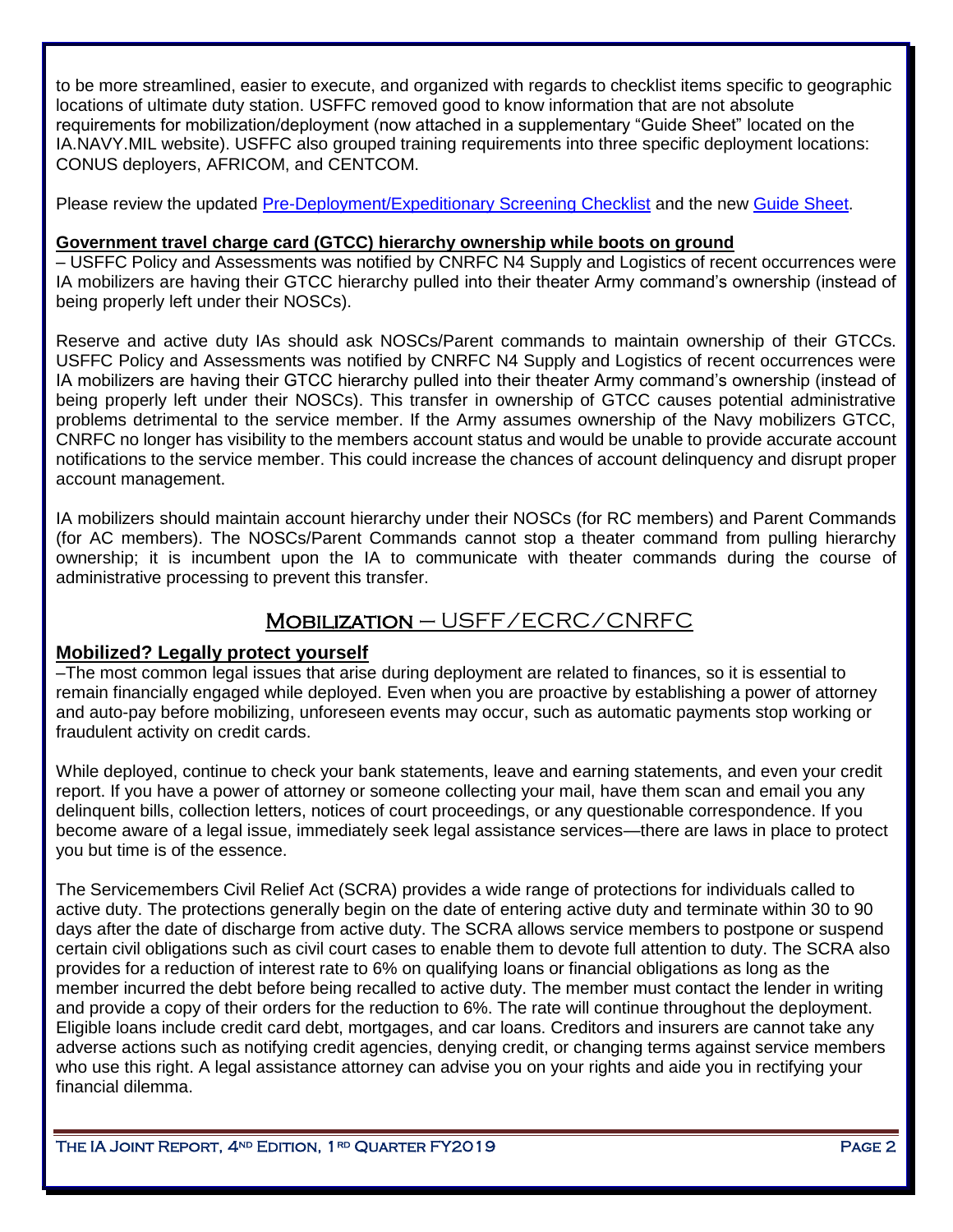to be more streamlined, easier to execute, and organized with regards to checklist items specific to geographic locations of ultimate duty station. USFFC removed good to know information that are not absolute requirements for mobilization/deployment (now attached in a supplementary "Guide Sheet" located on the IA.NAVY.MIL website). USFFC also grouped training requirements into three specific deployment locations: CONUS deployers, AFRICOM, and CENTCOM.

Please review the updated [Pre-Deployment/Expeditionary Screening Checklist](https://www.public.navy.mil/IA/Pages/PD_X_SCREEN.aspx) and the new [Guide Sheet.](https://www.public.navy.mil/IA/Pages/PD_X_SCREEN.aspx)

### <span id="page-1-0"></span>**Government travel charge card (GTCC) hierarchy ownership while boots on ground**

– USFFC Policy and Assessments was notified by CNRFC N4 Supply and Logistics of recent occurrences were IA mobilizers are having their GTCC hierarchy pulled into their theater Army command's ownership (instead of being properly left under their NOSCs).

Reserve and active duty IAs should ask NOSCs/Parent commands to maintain ownership of their GTCCs. USFFC Policy and Assessments was notified by CNRFC N4 Supply and Logistics of recent occurrences were IA mobilizers are having their GTCC hierarchy pulled into their theater Army command's ownership (instead of being properly left under their NOSCs). This transfer in ownership of GTCC causes potential administrative problems detrimental to the service member. If the Army assumes ownership of the Navy mobilizers GTCC, CNRFC no longer has visibility to the members account status and would be unable to provide accurate account notifications to the service member. This could increase the chances of account delinquency and disrupt proper account management.

IA mobilizers should maintain account hierarchy under their NOSCs (for RC members) and Parent Commands (for AC members). The NOSCs/Parent Commands cannot stop a theater command from pulling hierarchy ownership; it is incumbent upon the IA to communicate with theater commands during the course of administrative processing to prevent this transfer.

# Mobilization – USFF/ECRC/CNRFC

## <span id="page-1-1"></span>**Mobilized? Legally protect yourself**

–The most common legal issues that arise during deployment are related to finances, so it is essential to remain financially engaged while deployed. Even when you are proactive by establishing a power of attorney and auto-pay before mobilizing, unforeseen events may occur, such as automatic payments stop working or fraudulent activity on credit cards.

While deployed, continue to check your bank statements, leave and earning statements, and even your credit report. If you have a power of attorney or someone collecting your mail, have them scan and email you any delinquent bills, collection letters, notices of court proceedings, or any questionable correspondence. If you become aware of a legal issue, immediately seek legal assistance services—there are laws in place to protect you but time is of the essence.

The Servicemembers Civil Relief Act (SCRA) provides a wide range of protections for individuals called to active duty. The protections generally begin on the date of entering active duty and terminate within 30 to 90 days after the date of discharge from active duty. The SCRA allows service members to postpone or suspend certain civil obligations such as civil court cases to enable them to devote full attention to duty. The SCRA also provides for a reduction of interest rate to 6% on qualifying loans or financial obligations as long as the member incurred the debt before being recalled to active duty. The member must contact the lender in writing and provide a copy of their orders for the reduction to 6%. The rate will continue throughout the deployment. Eligible loans include credit card debt, mortgages, and car loans. Creditors and insurers are cannot take any adverse actions such as notifying credit agencies, denying credit, or changing terms against service members who use this right. A legal assistance attorney can advise you on your rights and aide you in rectifying your financial dilemma.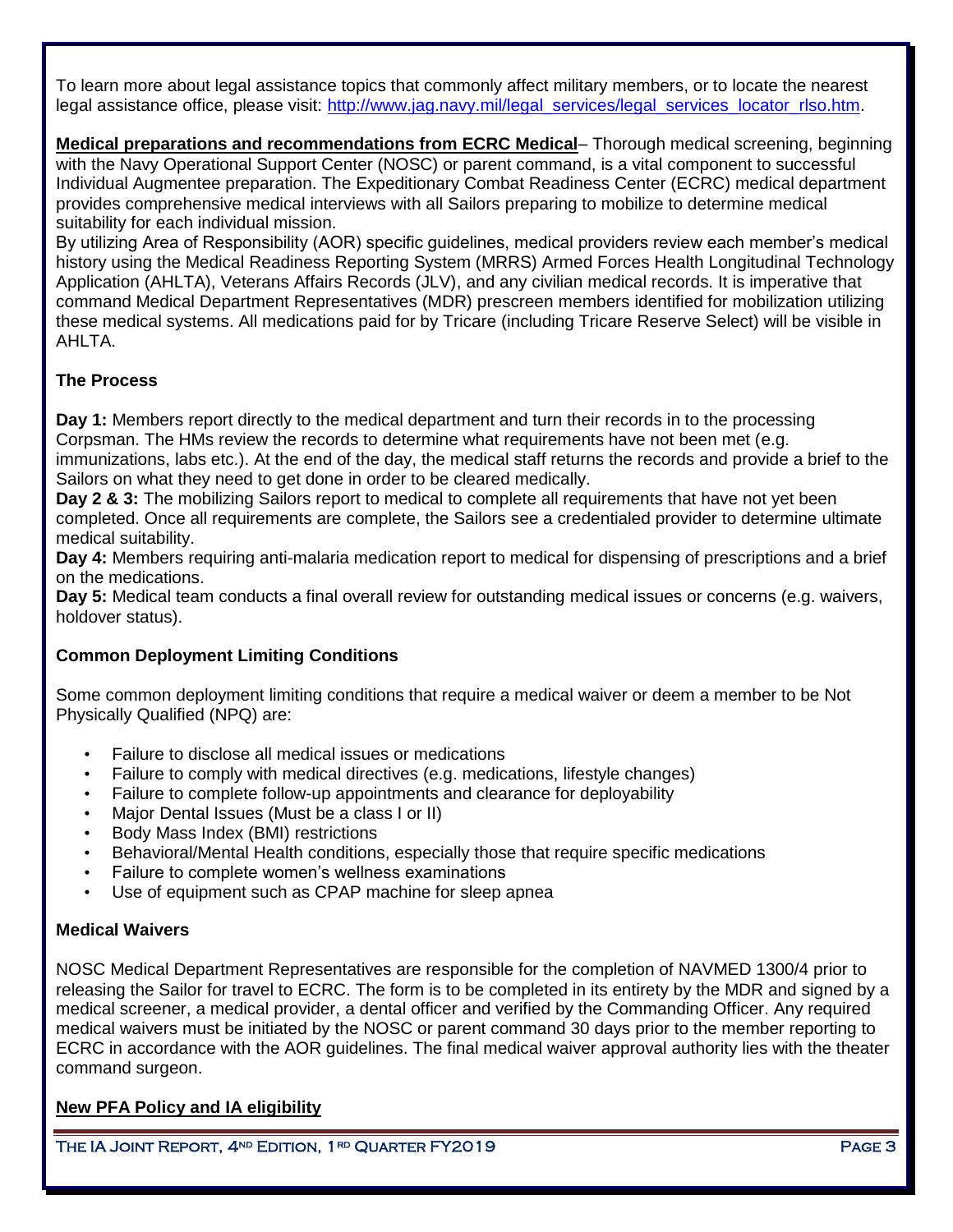To learn more about legal assistance topics that commonly affect military members, or to locate the nearest legal assistance office, please visit: [http://www.jag.navy.mil/legal\\_services/legal\\_services\\_locator\\_rlso.htm.](http://www.jag.navy.mil/legal_services/legal_services_locator_rlso.htm)

<span id="page-2-0"></span>**Medical preparations and recommendations from ECRC Medical**– Thorough medical screening, beginning with the Navy Operational Support Center (NOSC) or parent command, is a vital component to successful Individual Augmentee preparation. The Expeditionary Combat Readiness Center (ECRC) medical department provides comprehensive medical interviews with all Sailors preparing to mobilize to determine medical suitability for each individual mission.

By utilizing Area of Responsibility (AOR) specific guidelines, medical providers review each member's medical history using the Medical Readiness Reporting System (MRRS) Armed Forces Health Longitudinal Technology Application (AHLTA), Veterans Affairs Records (JLV), and any civilian medical records. It is imperative that command Medical Department Representatives (MDR) prescreen members identified for mobilization utilizing these medical systems. All medications paid for by Tricare (including Tricare Reserve Select) will be visible in AHLTA.

## **The Process**

**Day 1:** Members report directly to the medical department and turn their records in to the processing Corpsman. The HMs review the records to determine what requirements have not been met (e.g.

immunizations, labs etc.). At the end of the day, the medical staff returns the records and provide a brief to the Sailors on what they need to get done in order to be cleared medically.

**Day 2 & 3:** The mobilizing Sailors report to medical to complete all requirements that have not yet been completed. Once all requirements are complete, the Sailors see a credentialed provider to determine ultimate medical suitability.

**Day 4:** Members requiring anti-malaria medication report to medical for dispensing of prescriptions and a brief on the medications.

**Day 5:** Medical team conducts a final overall review for outstanding medical issues or concerns (e.g. waivers, holdover status).

### **Common Deployment Limiting Conditions**

Some common deployment limiting conditions that require a medical waiver or deem a member to be Not Physically Qualified (NPQ) are:

- Failure to disclose all medical issues or medications
- Failure to comply with medical directives (e.g. medications, lifestyle changes)
- Failure to complete follow-up appointments and clearance for deployability
- Major Dental Issues (Must be a class I or II)
- Body Mass Index (BMI) restrictions
- Behavioral/Mental Health conditions, especially those that require specific medications
- Failure to complete women's wellness examinations
- Use of equipment such as CPAP machine for sleep apnea

#### **Medical Waivers**

NOSC Medical Department Representatives are responsible for the completion of NAVMED 1300/4 prior to releasing the Sailor for travel to ECRC. The form is to be completed in its entirety by the MDR and signed by a medical screener, a medical provider, a dental officer and verified by the Commanding Officer. Any required medical waivers must be initiated by the NOSC or parent command 30 days prior to the member reporting to ECRC in accordance with the AOR guidelines. The final medical waiver approval authority lies with the theater command surgeon.

## <span id="page-2-1"></span>**New PFA Policy and IA eligibility**

THE IA JOINT REPORT,  $4^{ND}$  EDITION, 1<sup>rd</sup> QUARTER FY2019 Page 3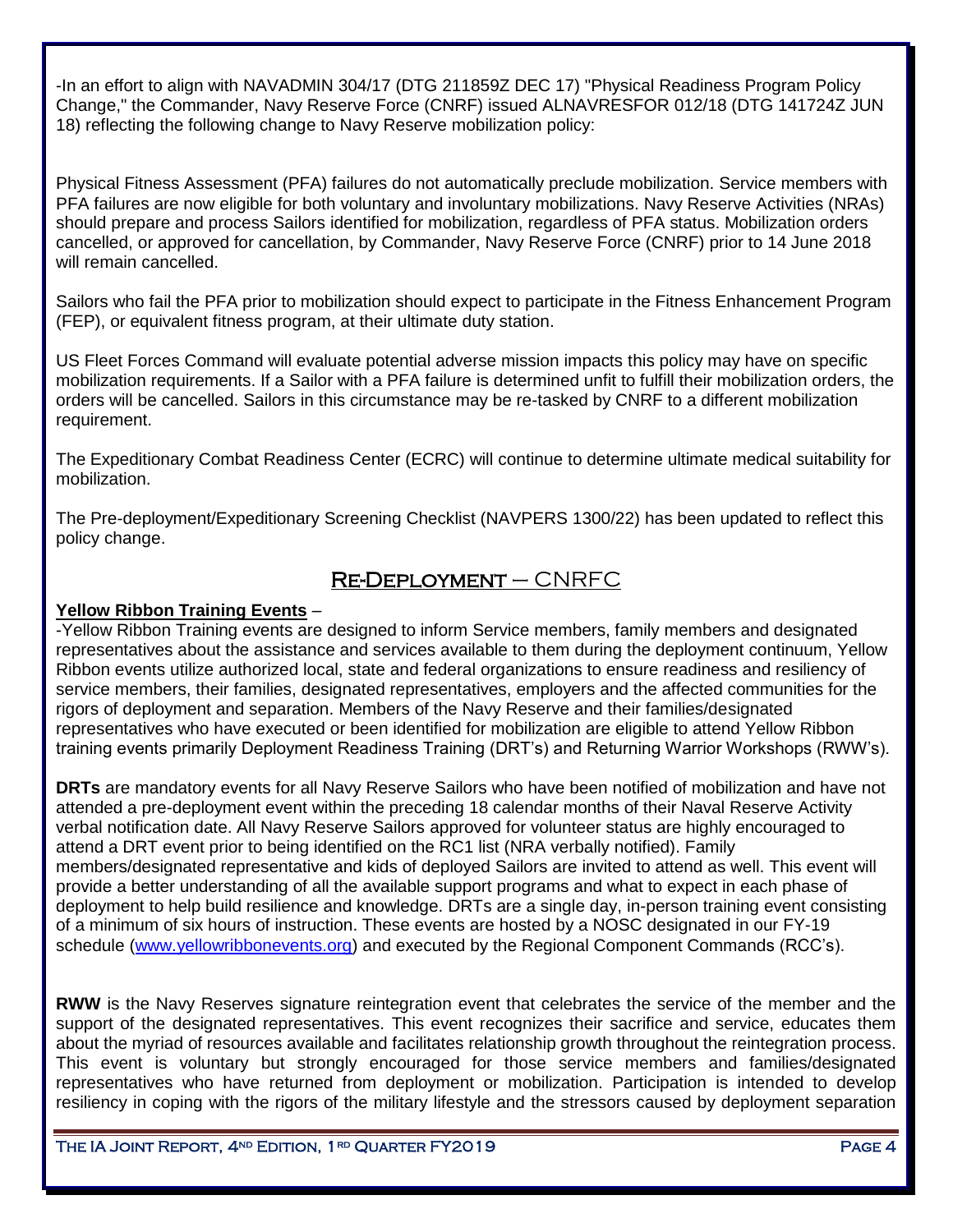-In an effort to align with NAVADMIN 304/17 (DTG 211859Z DEC 17) "Physical Readiness Program Policy Change," the Commander, Navy Reserve Force (CNRF) issued ALNAVRESFOR 012/18 (DTG 141724Z JUN 18) reflecting the following change to Navy Reserve mobilization policy:

Physical Fitness Assessment (PFA) failures do not automatically preclude mobilization. Service members with PFA failures are now eligible for both voluntary and involuntary mobilizations. Navy Reserve Activities (NRAs) should prepare and process Sailors identified for mobilization, regardless of PFA status. Mobilization orders cancelled, or approved for cancellation, by Commander, Navy Reserve Force (CNRF) prior to 14 June 2018 will remain cancelled.

Sailors who fail the PFA prior to mobilization should expect to participate in the Fitness Enhancement Program (FEP), or equivalent fitness program, at their ultimate duty station.

US Fleet Forces Command will evaluate potential adverse mission impacts this policy may have on specific mobilization requirements. If a Sailor with a PFA failure is determined unfit to fulfill their mobilization orders, the orders will be cancelled. Sailors in this circumstance may be re-tasked by CNRF to a different mobilization requirement.

The Expeditionary Combat Readiness Center (ECRC) will continue to determine ultimate medical suitability for mobilization.

The Pre-deployment/Expeditionary Screening Checklist (NAVPERS 1300/22) has been updated to reflect this policy change.

# Re-Deployment – CNRFC

## <span id="page-3-0"></span>**Yellow Ribbon Training Events** –

-Yellow Ribbon Training events are designed to inform Service members, family members and designated representatives about the assistance and services available to them during the deployment continuum, Yellow Ribbon events utilize authorized local, state and federal organizations to ensure readiness and resiliency of service members, their families, designated representatives, employers and the affected communities for the rigors of deployment and separation. Members of the Navy Reserve and their families/designated representatives who have executed or been identified for mobilization are eligible to attend Yellow Ribbon training events primarily Deployment Readiness Training (DRT's) and Returning Warrior Workshops (RWW's).

**DRTs** are mandatory events for all Navy Reserve Sailors who have been notified of mobilization and have not attended a pre-deployment event within the preceding 18 calendar months of their Naval Reserve Activity verbal notification date. All Navy Reserve Sailors approved for volunteer status are highly encouraged to attend a DRT event prior to being identified on the RC1 list (NRA verbally notified). Family members/designated representative and kids of deployed Sailors are invited to attend as well. This event will provide a better understanding of all the available support programs and what to expect in each phase of deployment to help build resilience and knowledge. DRTs are a single day, in-person training event consisting of a minimum of six hours of instruction. These events are hosted by a NOSC designated in our FY-19 schedule [\(www.yellowribbonevents.org\)](http://www.yellowribbonevents.org/) and executed by the Regional Component Commands (RCC's).

**RWW** is the Navy Reserves signature reintegration event that celebrates the service of the member and the support of the designated representatives. This event recognizes their sacrifice and service, educates them about the myriad of resources available and facilitates relationship growth throughout the reintegration process. This event is voluntary but strongly encouraged for those service members and families/designated representatives who have returned from deployment or mobilization. Participation is intended to develop resiliency in coping with the rigors of the military lifestyle and the stressors caused by deployment separation

THE IA JOINT REPORT,  $4^{ND}$  EDITION, 1<sup>rd</sup> QUARTER FY2019 Page 4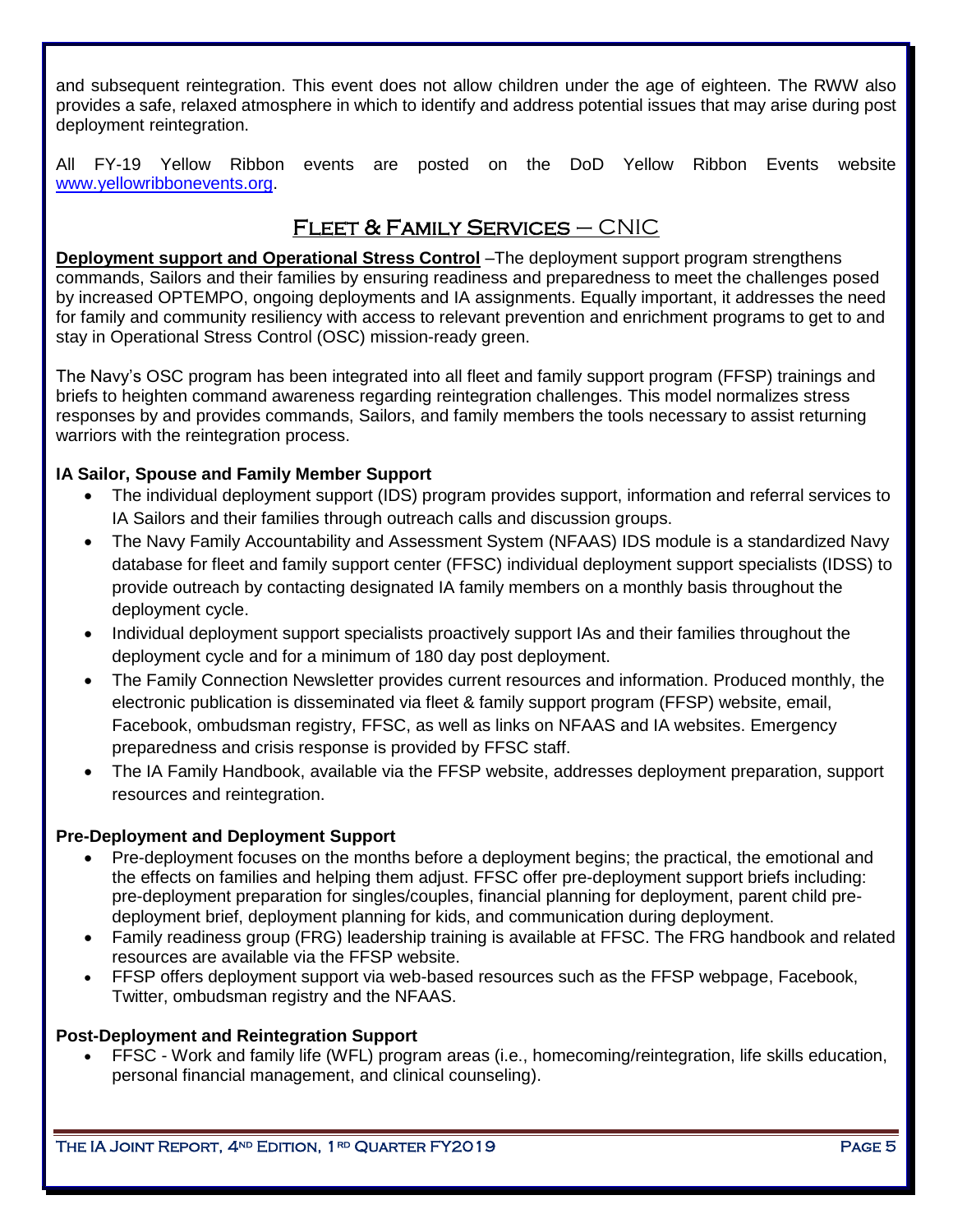and subsequent reintegration. This event does not allow children under the age of eighteen. The RWW also provides a safe, relaxed atmosphere in which to identify and address potential issues that may arise during post deployment reintegration.

All FY-19 Yellow Ribbon events are posted on the DoD Yellow Ribbon Events website [www.yellowribbonevents.org.](http://www.yellowribbonevents.org/)

# FLEET & FAMILY SERVICES  $-$  CNIC

<span id="page-4-0"></span>**Deployment support and Operational Stress Control** –The deployment support program strengthens commands, Sailors and their families by ensuring readiness and preparedness to meet the challenges posed by increased OPTEMPO, ongoing deployments and IA assignments. Equally important, it addresses the need for family and community resiliency with access to relevant prevention and enrichment programs to get to and stay in Operational Stress Control (OSC) mission-ready green.

The Navy's OSC program has been integrated into all fleet and family support program (FFSP) trainings and briefs to heighten command awareness regarding reintegration challenges. This model normalizes stress responses by and provides commands, Sailors, and family members the tools necessary to assist returning warriors with the reintegration process.

## **IA Sailor, Spouse and Family Member Support**

- The individual deployment support (IDS) program provides support, information and referral services to IA Sailors and their families through outreach calls and discussion groups.
- The Navy Family Accountability and Assessment System (NFAAS) IDS module is a standardized Navy database for fleet and family support center (FFSC) individual deployment support specialists (IDSS) to provide outreach by contacting designated IA family members on a monthly basis throughout the deployment cycle.
- Individual deployment support specialists proactively support IAs and their families throughout the deployment cycle and for a minimum of 180 day post deployment.
- The Family Connection Newsletter provides current resources and information. Produced monthly, the electronic publication is disseminated via fleet & family support program (FFSP) website, email, Facebook, ombudsman registry, FFSC, as well as links on NFAAS and IA websites. Emergency preparedness and crisis response is provided by FFSC staff.
- The IA Family Handbook, available via [the FFSP website,](http://www.ffsp.navy.mil/) addresses deployment preparation, support resources and reintegration.

### **Pre-Deployment and Deployment Support**

- Pre-deployment focuses on the months before a deployment begins; the practical, the emotional and the effects on families and helping them adjust. FFSC offer pre-deployment support briefs including: pre-deployment preparation for singles/couples, financial planning for deployment, parent child predeployment brief, deployment planning for kids, and communication during deployment.
- Family readiness group (FRG) leadership training is available at FFSC. The FRG handbook and related resources are available via the FFSP website.
- FFSP offers deployment support via web-based resources such as the FFSP webpage, Facebook, Twitter, ombudsman registry and the NFAAS.

### **Post-Deployment and Reintegration Support**

 FFSC - Work and family life (WFL) program areas (i.e., homecoming/reintegration, life skills education, personal financial management, and clinical counseling).